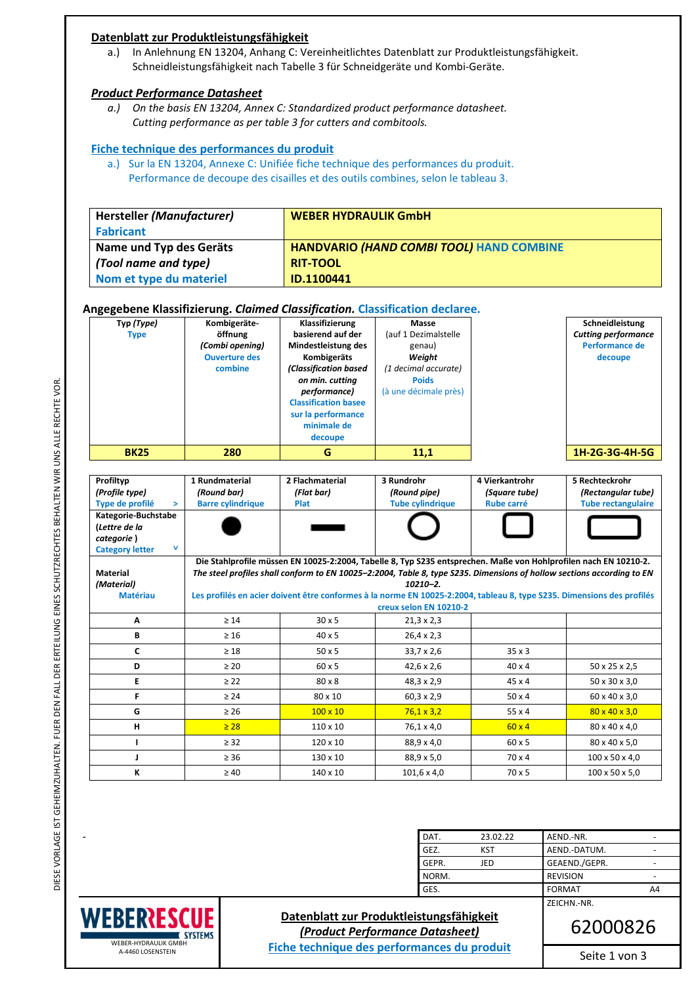## **Datenblatt zur Produktleistungsfähigkeit**

a.) In Anlehnung EN 13204, Anhang C: Vereinheitlichtes Datenblatt zur Produktleistungsfähigkeit. Schneidleistungsfähigkeit nach Tabelle 3 für Schneidgeräte und Kombi-Geräte.

#### *Product Performance Datasheet*

*a.) On the basis EN 13204, Annex C: Standardized product performance datasheet. Cutting performance as per table 3 for cutters and combitools.* 

### **Fiche technique des performances du produit**

a.) Sur la EN 13204, Annexe C: Unifiée fiche technique des performances du produit. Performance de decoupe des cisailles et des outils combines, selon le tableau 3.

| <b>Hersteller (Manufacturer)</b> | <b>WEBER HYDRAULIK GmbH</b>                     |
|----------------------------------|-------------------------------------------------|
| <b>Fabricant</b>                 |                                                 |
| Name und Typ des Geräts          | <b>HANDVARIO (HAND COMBI TOOL) HAND COMBINE</b> |
| (Tool name and type)             | <b>RIT-TOOL</b>                                 |
| Nom et type du materiel          | ID.1100441                                      |

#### **Angegebene Klassifizierung.** *Claimed Classification.* **Classification declaree.**

| . .         |                      |                             |                       |                            |
|-------------|----------------------|-----------------------------|-----------------------|----------------------------|
| Typ (Type)  | Kombigeräte-         | Klassifizierung             | Masse                 | Schneidleistung            |
| <b>Type</b> | öffnung              | basierend auf der           | (auf 1 Dezimalstelle  | <b>Cutting performance</b> |
|             | (Combi opening)      | Mindestleistung des         | genau)                | Performance de             |
|             | <b>Ouverture des</b> | Kombigeräts                 | Weight                | decoupe                    |
|             | combine              | (Classification based       | (1 decimal accurate)  |                            |
|             |                      | on min. cutting             | <b>Poids</b>          |                            |
|             |                      | performance)                | (à une décimale près) |                            |
|             |                      | <b>Classification basee</b> |                       |                            |
|             |                      | sur la performance          |                       |                            |
|             |                      | minimale de                 |                       |                            |
|             |                      | decoupe                     |                       |                            |
| <b>BK25</b> | 280                  | G                           | 11,1                  | 1H-2G-3G-4H-5G             |

| Profiltyp<br>(Profile type)<br>Type de profilé<br>$\geq$<br>Kategorie-Buchstabe<br>(Lettre de la | 1 Rundmaterial<br>(Round bar)<br><b>Barre cylindrique</b> | 2 Flachmaterial<br>(Flat bar)<br>Plat                                                                                                                                                                                                      | 3 Rundrohr<br>(Round pipe)<br><b>Tube cylindrique</b> | 4 Vierkantrohr<br>(Square tube)<br><b>Rube carré</b> | 5 Rechteckrohr<br>(Rectangular tube)<br><b>Tube rectangulaire</b> |
|--------------------------------------------------------------------------------------------------|-----------------------------------------------------------|--------------------------------------------------------------------------------------------------------------------------------------------------------------------------------------------------------------------------------------------|-------------------------------------------------------|------------------------------------------------------|-------------------------------------------------------------------|
| categorie)<br>v<br><b>Category letter</b>                                                        |                                                           |                                                                                                                                                                                                                                            |                                                       |                                                      |                                                                   |
| <b>Material</b>                                                                                  |                                                           | Die Stahlprofile müssen EN 10025-2:2004, Tabelle 8, Typ S235 entsprechen. Maße von Hohlprofilen nach EN 10210-2.<br>The steel profiles shall conform to EN 10025-2:2004, Table 8, type S235. Dimensions of hollow sections according to EN |                                                       |                                                      |                                                                   |
| (Material)                                                                                       |                                                           |                                                                                                                                                                                                                                            | $10210 - 2$ .                                         |                                                      |                                                                   |
| <b>Matériau</b>                                                                                  |                                                           | Les profilés en acier doivent être conformes à la norme EN 10025-2:2004, tableau 8, type S235. Dimensions des profilés                                                                                                                     |                                                       |                                                      |                                                                   |
|                                                                                                  |                                                           |                                                                                                                                                                                                                                            | creux selon EN 10210-2                                |                                                      |                                                                   |
| A                                                                                                | $\geq 14$                                                 | $30 \times 5$                                                                                                                                                                                                                              | $21,3 \times 2,3$                                     |                                                      |                                                                   |
| В                                                                                                | $\geq 16$                                                 | $40 \times 5$                                                                                                                                                                                                                              | $26,4 \times 2,3$                                     |                                                      |                                                                   |
| C                                                                                                | $\geq 18$                                                 | $50 \times 5$                                                                                                                                                                                                                              | $33,7 \times 2,6$                                     | $35 \times 3$                                        |                                                                   |
| D                                                                                                | $\geq 20$                                                 | 60 x 5                                                                                                                                                                                                                                     | $42,6 \times 2,6$                                     | $40 \times 4$                                        | 50 x 25 x 2,5                                                     |
| E                                                                                                | $\geq$ 22                                                 | 80 x 8                                                                                                                                                                                                                                     | 48,3 x 2,9                                            | $45 \times 4$                                        | 50 x 30 x 3,0                                                     |
| F                                                                                                | $\geq 24$                                                 | 80 x 10                                                                                                                                                                                                                                    | $60,3 \times 2,9$                                     | $50 \times 4$                                        | 60 x 40 x 3.0                                                     |
| G                                                                                                | $\geq 26$                                                 | $100 \times 10$                                                                                                                                                                                                                            | $76,1 \times 3,2$                                     | 55x4                                                 | $80 \times 40 \times 3.0$                                         |
| н                                                                                                | $\geq 28$                                                 | $110 \times 10$                                                                                                                                                                                                                            | 76,1 x 4,0                                            | $60 \times 4$                                        | 80 x 40 x 4,0                                                     |
|                                                                                                  | $\geq$ 32                                                 | $120 \times 10$                                                                                                                                                                                                                            | 88,9 x 4,0                                            | 60 x 5                                               | 80 x 40 x 5,0                                                     |
| J                                                                                                | $\geq 36$                                                 | $130 \times 10$                                                                                                                                                                                                                            | 88,9 x 5,0                                            | $70 \times 4$                                        | 100 x 50 x 4,0                                                    |
| к                                                                                                | $\geq 40$                                                 | 140 x 10                                                                                                                                                                                                                                   | $101,6 \times 4,0$                                    | $70 \times 5$                                        | 100 x 50 x 5,0                                                    |

| AEND.-NR.       |    |
|-----------------|----|
| AEND.-DATUM.    |    |
| GEAEND./GEPR.   |    |
| <b>REVISION</b> |    |
| <b>FORMAT</b>   | A4 |
| ZEICHN.-NR.     |    |



## **Datenblatt zur Produktleistungsfähigkeit**  *(Product Performance Datasheet)*  **Fiche technique des performances du produit**

62000826

Seite 1 von 3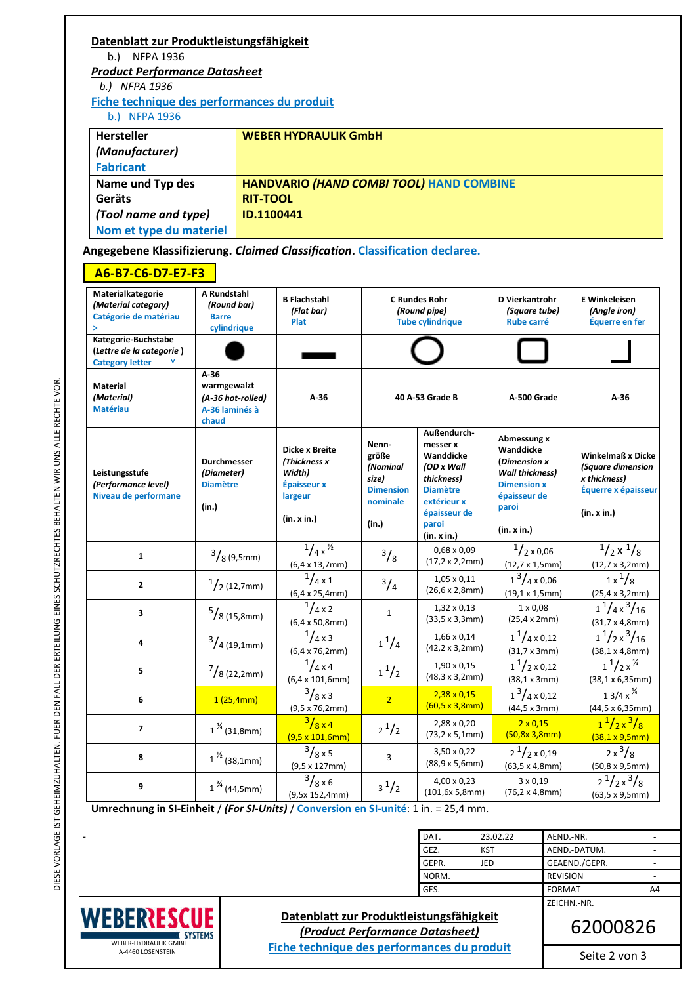| Datenblatt zur Produktleistungsfähigkeit    |                                                 |
|---------------------------------------------|-------------------------------------------------|
| b.<br>NFPA 1936                             |                                                 |
| <b>Product Performance Datasheet</b>        |                                                 |
| b.) NFPA 1936                               |                                                 |
| Fiche technique des performances du produit |                                                 |
| b.) NFPA 1936                               |                                                 |
| <b>Hersteller</b>                           | <b>WEBER HYDRAULIK GmbH</b>                     |
| (Manufacturer)                              |                                                 |
| <b>Fabricant</b>                            |                                                 |
| Name und Typ des                            | <b>HANDVARIO (HAND COMBI TOOL) HAND COMBINE</b> |
| Geräts                                      | <b>RIT-TOOL</b>                                 |
| (Tool name and type)                        | ID.1100441                                      |
| Nom et type du materiel                     |                                                 |

**Angegebene Klassifizierung.** *Claimed Classification***. Classification declaree.** 

# **A6-B7-C6-D7-E7-F3**

| Materialkategorie<br>(Material category)<br>Catégorie de matériau<br>$\geq$ | A Rundstahl<br>(Round bar)<br><b>Barre</b><br>cylindrique             | <b>B Flachstahl</b><br>(Flat bar)<br><b>Plat</b>                                         | <b>C Rundes Rohr</b><br>(Round pipe)<br><b>Tube cylindrique</b>              |                                                                                                                                            | D Vierkantrohr<br>(Square tube)<br><b>Rube carré</b>                                                                             | <b>E</b> Winkeleisen<br>(Angle iron)<br>Équerre en fer                                              |             |        |
|-----------------------------------------------------------------------------|-----------------------------------------------------------------------|------------------------------------------------------------------------------------------|------------------------------------------------------------------------------|--------------------------------------------------------------------------------------------------------------------------------------------|----------------------------------------------------------------------------------------------------------------------------------|-----------------------------------------------------------------------------------------------------|-------------|--------|
| Kategorie-Buchstabe<br>(Lettre de la categorie)<br><b>Category letter</b>   |                                                                       |                                                                                          |                                                                              |                                                                                                                                            |                                                                                                                                  |                                                                                                     |             |        |
| <b>Material</b><br>(Material)<br><b>Matériau</b>                            | $A-36$<br>warmgewalzt<br>(A-36 hot-rolled)<br>A-36 laminés à<br>chaud | $A-36$                                                                                   | 40 A-53 Grade B                                                              |                                                                                                                                            |                                                                                                                                  |                                                                                                     | A-500 Grade | $A-36$ |
| Leistungsstufe<br>(Performance level)<br>Niveau de performane               | <b>Durchmesser</b><br>(Diameter)<br><b>Diamètre</b><br>(in.)          | <b>Dicke x Breite</b><br>(Thickness x<br>Width)<br>Épaisseur x<br>largeur<br>(in. x in.) | Nenn-<br>größe<br>(Nominal<br>size)<br><b>Dimension</b><br>nominale<br>(in.) | Außendurch-<br>messer x<br>Wanddicke<br>(OD x Wall<br>thickness)<br><b>Diamètre</b><br>extérieur x<br>épaisseur de<br>paroi<br>(in. x in.) | Abmessung x<br>Wanddicke<br>(Dimension x<br><b>Wall thickness)</b><br><b>Dimension x</b><br>épaisseur de<br>paroi<br>(in. x in.) | <b>Winkelmaß x Dicke</b><br>(Square dimension<br>x thickness)<br>Équerre x épaisseur<br>(in. x in.) |             |        |
| $\mathbf{1}$                                                                | $\frac{3}{8}$ (9,5mm)                                                 | $^{1}/_{4}$ x $^{1}/_{2}$<br>$(6,4 \times 13,7 \text{mm})$                               | $^{3}/_{8}$                                                                  | $0,68 \times 0,09$<br>$(17, 2 \times 2, 2 \text{mm})$                                                                                      | $1/2 \times 0.06$<br>$(12,7 \times 1,5)$ mm)                                                                                     | $\frac{1}{2}x^{1}/8$<br>$(12,7 \times 3,2 \text{mm})$                                               |             |        |
| $\mathbf{z}$                                                                | $\frac{1}{2}$ (12,7mm)                                                | $^{1}/_{4\times1}$<br>$(6, 4 \times 25, 4 \text{mm})$                                    | $^{3}/_{4}$                                                                  | $1,05 \times 0,11$<br>(26, 6 x 2, 8 mm)                                                                                                    | $1^3/4 \times 0.06$<br>$(19, 1 \times 1, 5$ mm)                                                                                  | $1x^{1}/8$<br>$(25, 4 \times 3, 2 \text{mm})$                                                       |             |        |
| 3                                                                           | $\frac{5}{8}$ (15,8mm)                                                | $^{1}/_{4}$ x 2<br>$(6,4 \times 50,8 \text{mm})$                                         | $\mathbf{1}$                                                                 | $1,32 \times 0,13$<br>$(33,5 \times 3,3)$ mm)                                                                                              | $1 \times 0.08$<br>$(25, 4 \times 2 \text{mm})$                                                                                  | $1^{\frac{1}{4}x^3/16}$<br>$(31, 7 \times 4, 8 \text{mm})$                                          |             |        |
| 4                                                                           | $\frac{3}{4}$ (19,1mm)                                                | $^{1}/_{4}$ x 3<br>$(6,4 \times 76,2 \text{mm})$                                         | $1^{1}/_{4}$                                                                 | 1,66 x 0,14<br>$(42, 2 \times 3, 2 \text{mm})$                                                                                             | $1^{1}/_{4} \times 0.12$<br>$(31, 7 \times 3)$ mm)                                                                               | $1^{1}/2 \times \frac{3}{16}$<br>(38, 1 x 4, 8 mm)                                                  |             |        |
| 5                                                                           | $^{7}/_{8}$ (22,2mm)                                                  | $^{1}/_{4}$ x 4<br>$(6,4 \times 101,6 \text{mm})$                                        | $1^{1/2}$                                                                    | $1,90 \times 0,15$<br>$(48, 3 \times 3, 2 \text{mm})$                                                                                      | $1^{1}/2\times0,12$<br>(38, 1 x 3mm)                                                                                             | $1^{1}/2x^{1/4}$<br>$(38, 1 \times 6, 35$ mm $)$                                                    |             |        |
| 6                                                                           | 1(25,4mm)                                                             | $^{3}/_{8}$ x 3<br>$(9,5 \times 76,2 \text{mm})$                                         | $\overline{2}$                                                               | $2,38 \times 0,15$<br>$(60, 5 \times 3, 8 \text{mm})$                                                                                      | $1^3$ /4 x 0.12<br>(44, 5 x 3mm)                                                                                                 | $13/4x^{1/4}$<br>$(44, 5 \times 6, 35$ mm)                                                          |             |        |
| $\overline{7}$                                                              | $1\frac{\frac{1}{2}}{(31,8mm)}$                                       | $\frac{3}{8} \times 4$<br>$(9.5 \times 101, 6mm)$                                        | $2^{1/2}$                                                                    | 2,88 x 0,20<br>$(73, 2 \times 5, 1 \text{mm})$                                                                                             | $2 \times 0,15$<br>(50, 8x 3, 8mm)                                                                                               | $1^{1}/2x^{3}/8$<br>(38, 1 x 9, 5 mm)                                                               |             |        |
| 8                                                                           | $1^{1/2}$ (38,1mm)                                                    | $^{3}/_{8}$ x 5<br>$(9,5 \times 127$ mm)                                                 | 3                                                                            | 3,50 x 0,22<br>$(88, 9 \times 5, 6 \text{mm})$                                                                                             | $2^{1}/2 \times 0,19$<br>(63, 5 x 4, 8 mm)                                                                                       | $2x^3/8$<br>$(50, 8 \times 9, 5 \text{mm})$                                                         |             |        |
| 9                                                                           | $1^{3/4}$ (44,5mm)                                                    | $3/8\times6$<br>(9,5x 152,4mm)                                                           | $3^{1/2}$                                                                    | 4,00 x 0,23<br>(101, 6x 5, 8mm)                                                                                                            | $3 \times 0,19$<br>$(76, 2 \times 4, 8 \text{mm})$                                                                               | $2^{1}/2x^{3}/8$<br>(63, 5 x 9, 5 mm)                                                               |             |        |

**Umrechnung in SI-Einheit** / *(For SI-Units)* / **Conversion en SI-unité**: 1 in. = 25,4 mm.

| DAT.  | 23.02.22   | AEND.-NR.           |
|-------|------------|---------------------|
| GEZ.  | <b>KST</b> | AEND.-DATUM.        |
| GEPR. | JED        | GEAEND./GEPR.       |
| NORM. |            | <b>REVISION</b>     |
| GES.  |            | <b>FORMAT</b><br>A4 |
|       |            | ZEICHN.-NR.         |



**Datenblatt zur Produktleistungsfähigkeit**  *(Product Performance Datasheet)*  **Fiche technique des performances du produit**

62000826

Seite 2 von 3